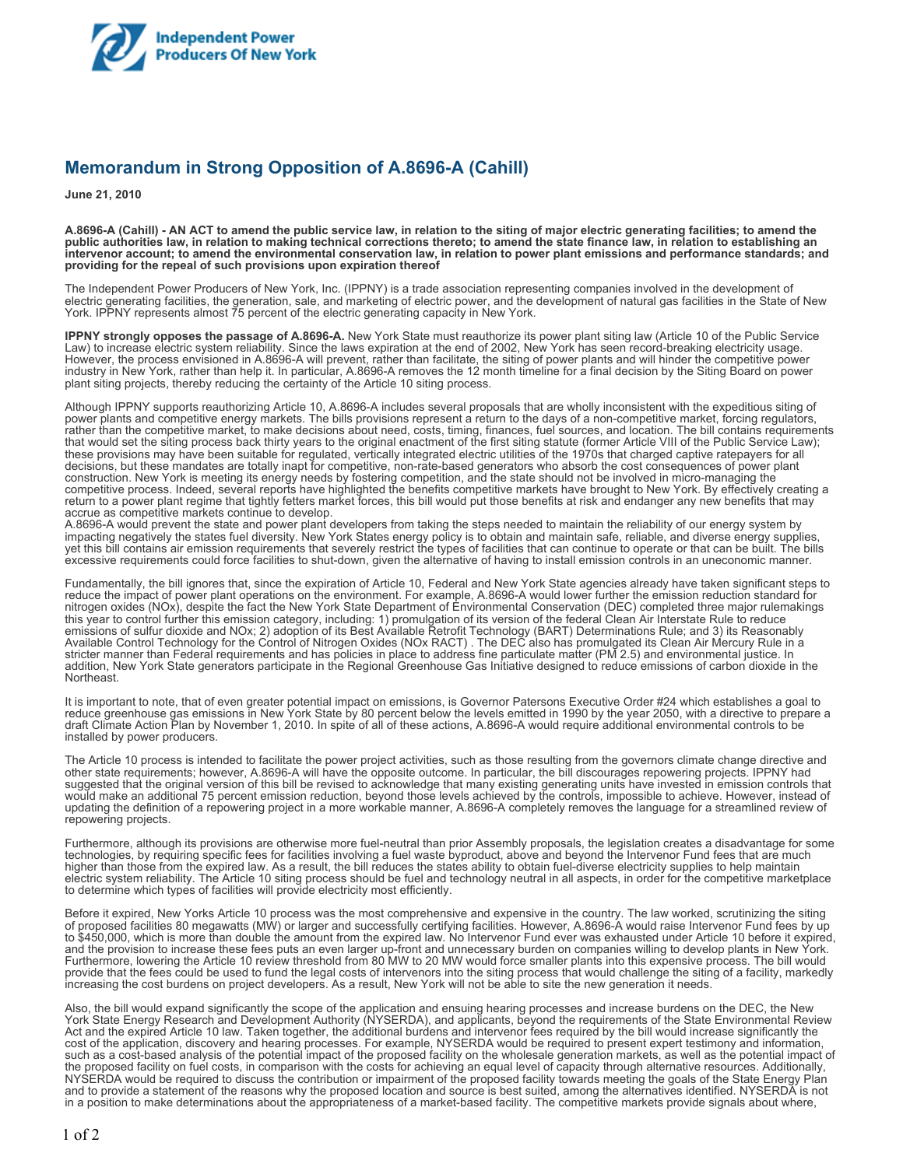

## **Memorandum in Strong Opposition of A.8696-A (Cahill)**

**June 21, 2010**

**A.8696-A (Cahill) - AN ACT to amend the public service law, in relation to the siting of major electric generating facilities; to amend the public authorities law, in relation to making technical corrections thereto; to amend the state finance law, in relation to establishing an intervenor account; to amend the environmental conservation law, in relation to power plant emissions and performance standards; and providing for the repeal of such provisions upon expiration thereof**

The Independent Power Producers of New York, Inc. (IPPNY) is a trade association representing companies involved in the development of electric generating facilities, the generation, sale, and marketing of electric power, and the development of natural gas facilities in the State of New York. IPPNY represents almost 75 percent of the electric generating capacity in New York.

**IPPNY strongly opposes the passage of A.8696-A.** New York State must reauthorize its power plant siting law (Article 10 of the Public Service Law) to increase electric system reliability. Since the laws expiration at the end of 2002, New York has seen record-breaking electricity usage. However, the process envisioned in A.8696-A will prevent, rather than facilitate, the siting of power plants and will hinder the competitive power industry in New York, rather than help it. In particular, A.8696-A removes the 12 month timeline for a final decision by the Siting Board on power plant siting projects, thereby reducing the certainty of the Article 10 siting process.

Although IPPNY supports reauthorizing Article 10, A.8696-A includes several proposals that are wholly inconsistent with the expeditious siting of power plants and competitive energy markets. The bills provisions represent a return to the days of a non-competitive market, forcing regulators, rather than the competitive market, to make decisions about need, costs, timing, finances, fuel sources, and location. The bill contains requirements that would set the siting process back thirty years to the original enactment of the first siting statute (former Article VIII of the Public Service Law); these provisions may have been suitable for regulated, vertically integrated electric utilities of the 1970s that charged captive ratepayers for all decisions, but these mandates are totally inapt for competitive, non-rate-based generators who absorb the cost consequences of power plant construction. New York is meeting its energy needs by fostering competition, and the state should not be involved in micro-managing the competitive process. Indeed, several reports have highlighted the benefits competitive markets have brought to New York. By effectively creating a return to a power plant regime that tightly fetters market forces, this bill would put those benefits at risk and endanger any new benefits that may accrue as competitive markets continue to develop.

A.8696-A would prevent the state and power plant developers from taking the steps needed to maintain the reliability of our energy system by impacting negatively the states fuel diversity. New York States energy policy is to obtain and maintain safe, reliable, and diverse energy supplies, yet this bill contains air emission requirements that severely restrict the types of facilities that can continue to operate or that can be built. The bills excessive requirements could force facilities to shut-down, given the alternative of having to install emission controls in an uneconomic manner.

Fundamentally, the bill ignores that, since the expiration of Article 10, Federal and New York State agencies already have taken significant steps to reduce the impact of power plant operations on the environment. For example, A.8696-A would lower further the emission reduction standard for nitrogen oxides (NOx), despite the fact the New York State Department of Environmental Conservation (DEC) completed three major rulemakings this year to control further this emission category, including: 1) promulgation of its version of the federal Clean Air Interstate Rule to reduce emissions of sulfur dioxide and NOx; 2) adoption of its Best Available Retrofit Technology (BART) Determinations Rule; and 3) its Reasonably Available Control Technology for the Control of Nitrogen Oxides (NOx RACT) . The DEC also has promulgated its Clean Air Mercury Rule in a stricter manner than Federal requirements and has policies in place to address fine particulate matter (PM 2.5) and environmental justice. In addition, New York State generators participate in the Regional Greenhouse Gas Initiative designed to reduce emissions of carbon dioxide in the Northeast.

It is important to note, that of even greater potential impact on emissions, is Governor Patersons Executive Order #24 which establishes a goal to reduce greenhouse gas emissions in New York State by 80 percent below the levels emitted in 1990 by the year 2050, with a directive to prepare a draft Climate Action Plan by November 1, 2010. In spite of all of these actions, A.8696-A would require additional environmental controls to be installed by power producers.

The Article 10 process is intended to facilitate the power project activities, such as those resulting from the governors climate change directive and other state requirements; however, A.8696-A will have the opposite outcome. In particular, the bill discourages repowering projects. IPPNY had suggested that the original version of this bill be revised to acknowledge that many existing generating units have invested in emission controls that would make an additional 75 percent emission reduction, beyond those levels achieved by the controls, impossible to achieve. However, instead of updating the definition of a repowering project in a more workable manner, A.8696-A completely removes the language for a streamlined review of repowering projects.

Furthermore, although its provisions are otherwise more fuel-neutral than prior Assembly proposals, the legislation creates a disadvantage for some technologies, by requiring specific fees for facilities involving a fuel waste byproduct, above and beyond the Intervenor Fund fees that are much higher than those from the expired law. As a result, the bill reduces the states ability to obtain fuel-diverse electricity supplies to help maintain electric system reliability. The Article 10 siting process should be fuel and technology neutral in all aspects, in order for the competitive marketplace to determine which types of facilities will provide electricity most efficiently.

Before it expired, New Yorks Article 10 process was the most comprehensive and expensive in the country. The law worked, scrutinizing the siting of proposed facilities 80 megawatts (MW) or larger and successfully certifying facilities. However, A.8696-A would raise Intervenor Fund fees by up to \$450,000, which is more than double the amount from the expired law. No Intervenor Fund ever was exhausted under Article 10 before it expired, and the provision to increase these fees puts an even larger up-front and unnecessary burden on companies willing to develop plants in New York. Furthermore, lowering the Article 10 review threshold from 80 MW to 20 MW would force smaller plants into this expensive process. The bill would provide that the fees could be used to fund the legal costs of intervenors into the siting process that would challenge the siting of a facility, markedly increasing the cost burdens on project developers. As a result, New York will not be able to site the new generation it needs.

Also, the bill would expand significantly the scope of the application and ensuing hearing processes and increase burdens on the DEC, the New York State Energy Research and Development Authority (NYSERDA), and applicants, beyond the requirements of the State Environmental Review Act and the expired Article 10 law. Taken together, the additional burdens and intervenor fees required by the bill would increase significantly the cost of the application, discovery and hearing processes. For example, NYSERDA would be required to present expert testimony and information, such as a cost-based analysis of the potential impact of the proposed facility on the wholesale generation markets, as well as the potential impact of the proposed facility on fuel costs, in comparison with the costs for achieving an equal level of capacity through alternative resources. Additionally, NYSERDA would be required to discuss the contribution or impairment of the proposed facility towards meeting the goals of the State Energy Plan and to provide a statement of the reasons why the proposed location and source is best suited, among the alternatives identified. NYSERDA is not in a position to make determinations about the appropriateness of a market-based facility. The competitive markets provide signals about where,